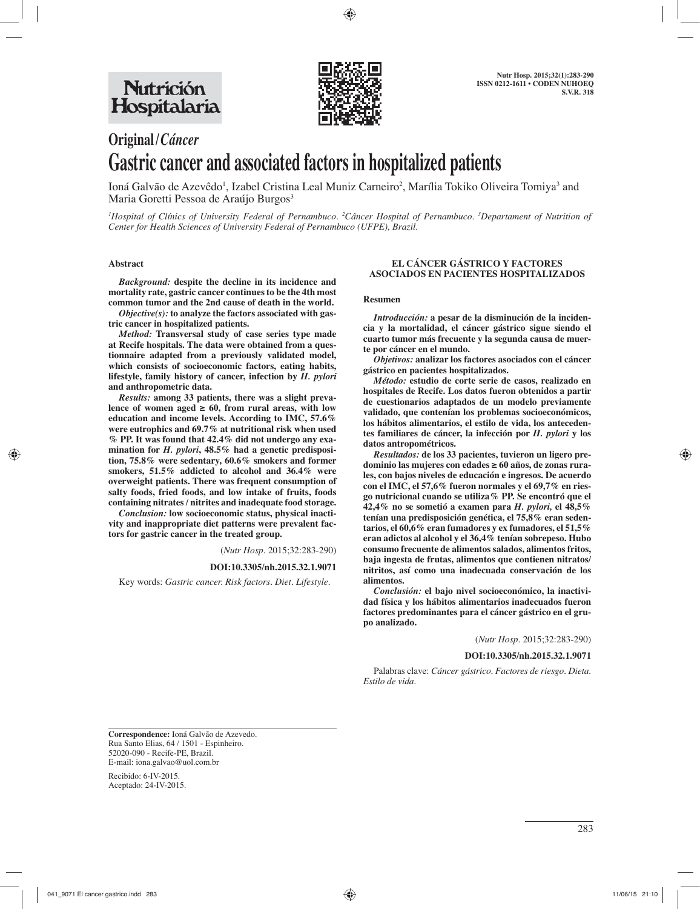

# **Original /** *Cáncer* **Gastric cancer and associated factors in hospitalized patients**

Ioná Galvão de Azevêdo<sup>1</sup>, Izabel Cristina Leal Muniz Carneiro<sup>2</sup>, Marília Tokiko Oliveira Tomiya<sup>3</sup> and Maria Goretti Pessoa de Araújo Burgos<sup>3</sup>

*1 Hospital of Clínics of University Federal of Pernambuco. 2 Câncer Hospital of Pernambuco. 3 Departament of Nutrition of Center for Health Sciences of University Federal of Pernambuco (UFPE), Brazil.*

#### **Abstract**

*Background:* **despite the decline in its incidence and mortality rate, gastric cancer continues to be the 4th most common tumor and the 2nd cause of death in the world.** 

*Objective(s):* **to analyze the factors associated with gastric cancer in hospitalized patients.**

*Method:* **Transversal study of case series type made at Recife hospitals. The data were obtained from a questionnaire adapted from a previously validated model, which consists of socioeconomic factors, eating habits, lifestyle, family history of cancer, infection by** *H. pylori* **and anthropometric data.** 

*Results:* **among 33 patients, there was a slight preva**lence of women aged  $\geq 60$ , from rural areas, with low **education and income levels. According to IMC, 57.6% were eutrophics and 69.7% at nutritional risk when used % PP. It was found that 42.4% did not undergo any examination for** *H. pylori***, 48.5% had a genetic predisposition, 75.8% were sedentary, 60.6% smokers and former smokers, 51.5% addicted to alcohol and 36.4% were overweight patients. There was frequent consumption of salty foods, fried foods, and low intake of fruits, foods containing nitrates / nitrites and inadequate food storage.** 

*Conclusion:* **low socioeconomic status, physical inactivity and inappropriate diet patterns were prevalent factors for gastric cancer in the treated group.**

(*Nutr Hosp.* 2015;32:283-290)

#### **DOI:10.3305/nh.2015.32.1.9071**

Key words: *Gastric cancer. Risk factors. Diet. Lifestyle.*

#### **EL CÁNCER GÁSTRICO Y FACTORES ASOCIADOS EN PACIENTES HOSPITALIZADOS**

#### **Resumen**

*Introducción:* **a pesar de la disminución de la incidencia y la mortalidad, el cáncer gástrico sigue siendo el cuarto tumor más frecuente y la segunda causa de muerte por cáncer en el mundo.** 

*Objetivos:* **analizar los factores asociados con el cáncer gástrico en pacientes hospitalizados.** 

*Método:* **estudio de corte serie de casos, realizado en hospitales de Recife. Los datos fueron obtenidos a partir de cuestionarios adaptados de un modelo previamente validado, que contenían los problemas socioeconómicos, los hábitos alimentarios, el estilo de vida, los antecedentes familiares de cáncer, la infección por** *H. pylori* **y los datos antropométricos.** 

*Resultados:* **de los 33 pacientes, tuvieron un ligero predominio las mujeres con edades ≥ 60 años, de zonas rurales, con bajos niveles de educación e ingresos. De acuerdo con el IMC, el 57,6% fueron normales y el 69,7% en riesgo nutricional cuando se utiliza% PP. Se encontró que el 42,4% no se sometió a examen para** *H. pylori,* **el 48,5% tenían una predisposición genética, el 75,8% eran sedentarios, el 60,6% eran fumadores y ex fumadores, el 51,5% eran adictos al alcohol y el 36,4% tenían sobrepeso. Hubo consumo frecuente de alimentos salados, alimentos fritos, baja ingesta de frutas, alimentos que contienen nitratos/ nitritos, así como una inadecuada conservación de los alimentos.** 

*Conclusión:* **el bajo nivel socioeconómico, la inactividad física y los hábitos alimentarios inadecuados fueron factores predominantes para el cáncer gástrico en el grupo analizado.**

(*Nutr Hosp.* 2015;32:283-290)

**DOI:10.3305/nh.2015.32.1.9071**

Palabras clave: *Cáncer gástrico. Factores de riesgo. Dieta. Estilo de vida.*

**Correspondence:** Ioná Galvão de Azevedo. Rua Santo Elias, 64 / 1501 - Espinheiro. 52020-090 - Recife-PE, Brazil. E-mail: iona.galvao@uol.com.br

Recibido: 6-IV-2015. Aceptado: 24-IV-2015.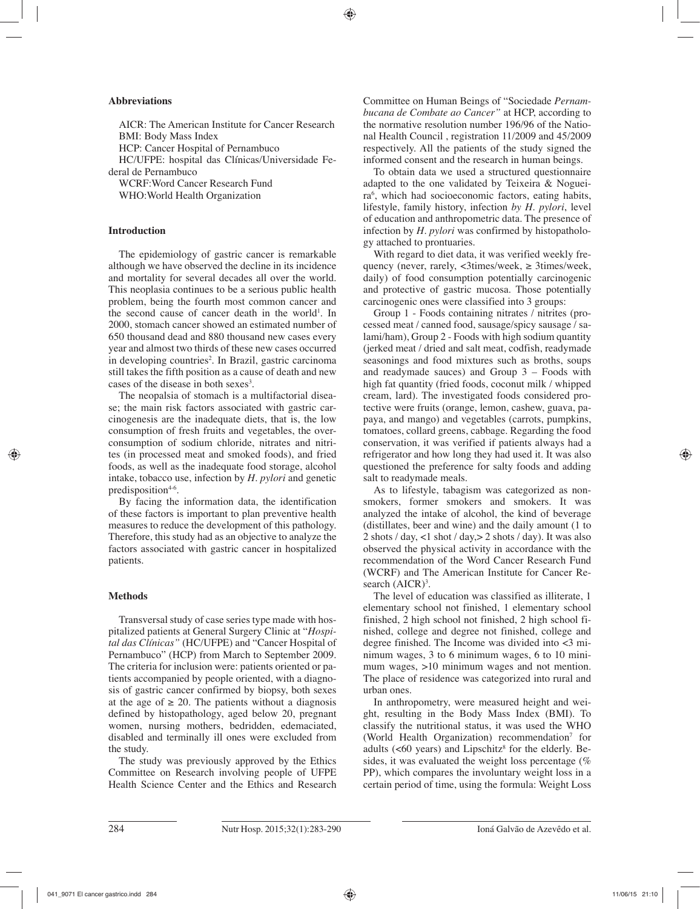# **Abbreviations**

AICR: The American Institute for Cancer Research BMI: Body Mass Index HCP: Cancer Hospital of Pernambuco HC/UFPE: hospital das Clínicas/Universidade Federal de Pernambuco WCRF:Word Cancer Research Fund

WHO:World Health Organization

# **Introduction**

The epidemiology of gastric cancer is remarkable although we have observed the decline in its incidence and mortality for several decades all over the world. This neoplasia continues to be a serious public health problem, being the fourth most common cancer and the second cause of cancer death in the world<sup>1</sup>. In 2000, stomach cancer showed an estimated number of 650 thousand dead and 880 thousand new cases every year and almost two thirds of these new cases occurred in developing countries<sup>2</sup>. In Brazil, gastric carcinoma still takes the fifth position as a cause of death and new cases of the disease in both sexes<sup>3</sup>.

The neopalsia of stomach is a multifactorial disease; the main risk factors associated with gastric carcinogenesis are the inadequate diets, that is, the low consumption of fresh fruits and vegetables, the overconsumption of sodium chloride, nitrates and nitrites (in processed meat and smoked foods), and fried foods, as well as the inadequate food storage, alcohol intake, tobacco use, infection by *H. pylori* and genetic predisposition<sup>4-6</sup>.

By facing the information data, the identification of these factors is important to plan preventive health measures to reduce the development of this pathology. Therefore, this study had as an objective to analyze the factors associated with gastric cancer in hospitalized patients.

## **Methods**

Transversal study of case series type made with hospitalized patients at General Surgery Clinic at "*Hospital das Clínicas"* (HC/UFPE) and "Cancer Hospital of Pernambuco" (HCP) from March to September 2009. The criteria for inclusion were: patients oriented or patients accompanied by people oriented, with a diagnosis of gastric cancer confirmed by biopsy, both sexes at the age of  $\geq$  20. The patients without a diagnosis defined by histopathology, aged below 20, pregnant women, nursing mothers, bedridden, edemaciated, disabled and terminally ill ones were excluded from the study.

The study was previously approved by the Ethics Committee on Research involving people of UFPE Health Science Center and the Ethics and Research

Committee on Human Beings of "Sociedade *Pernambucana de Combate ao Cancer"* at HCP, according to the normative resolution number 196/96 of the National Health Council , registration 11/2009 and 45/2009 respectively. All the patients of the study signed the informed consent and the research in human beings.

To obtain data we used a structured questionnaire adapted to the one validated by Teixeira & Nogueira6 , which had socioeconomic factors, eating habits, lifestyle, family history, infection *by H. pylori*, level of education and anthropometric data. The presence of infection by *H. pylori* was confirmed by histopathology attached to prontuaries.

With regard to diet data, it was verified weekly frequency (never, rarely, <3times/week, ≥ 3times/week, daily) of food consumption potentially carcinogenic and protective of gastric mucosa. Those potentially carcinogenic ones were classified into 3 groups:

Group 1 - Foods containing nitrates / nitrites (processed meat / canned food, sausage/spicy sausage / salami/ham), Group 2 - Foods with high sodium quantity (jerked meat / dried and salt meat, codfish, readymade seasonings and food mixtures such as broths, soups and readymade sauces) and Group 3 – Foods with high fat quantity (fried foods, coconut milk / whipped cream, lard). The investigated foods considered protective were fruits (orange, lemon, cashew, guava, papaya, and mango) and vegetables (carrots, pumpkins, tomatoes, collard greens, cabbage. Regarding the food conservation, it was verified if patients always had a refrigerator and how long they had used it. It was also questioned the preference for salty foods and adding salt to readymade meals.

As to lifestyle, tabagism was categorized as nonsmokers, former smokers and smokers. It was analyzed the intake of alcohol, the kind of beverage (distillates, beer and wine) and the daily amount (1 to 2 shots / day, <1 shot / day, > 2 shots / day). It was also observed the physical activity in accordance with the recommendation of the Word Cancer Research Fund (WCRF) and The American Institute for Cancer Research  $(AICR)^3$ .

The level of education was classified as illiterate, 1 elementary school not finished, 1 elementary school finished, 2 high school not finished, 2 high school finished, college and degree not finished, college and degree finished. The Income was divided into <3 minimum wages, 3 to 6 minimum wages, 6 to 10 minimum wages, >10 minimum wages and not mention. The place of residence was categorized into rural and urban ones.

In anthropometry, were measured height and weight, resulting in the Body Mass Index (BMI). To classify the nutritional status, it was used the WHO (World Health Organization) recommendation<sup>7</sup> for adults  $( $60$  years)$  and Lipschitz<sup>8</sup> for the elderly. Besides, it was evaluated the weight loss percentage (% PP), which compares the involuntary weight loss in a certain period of time, using the formula: Weight Loss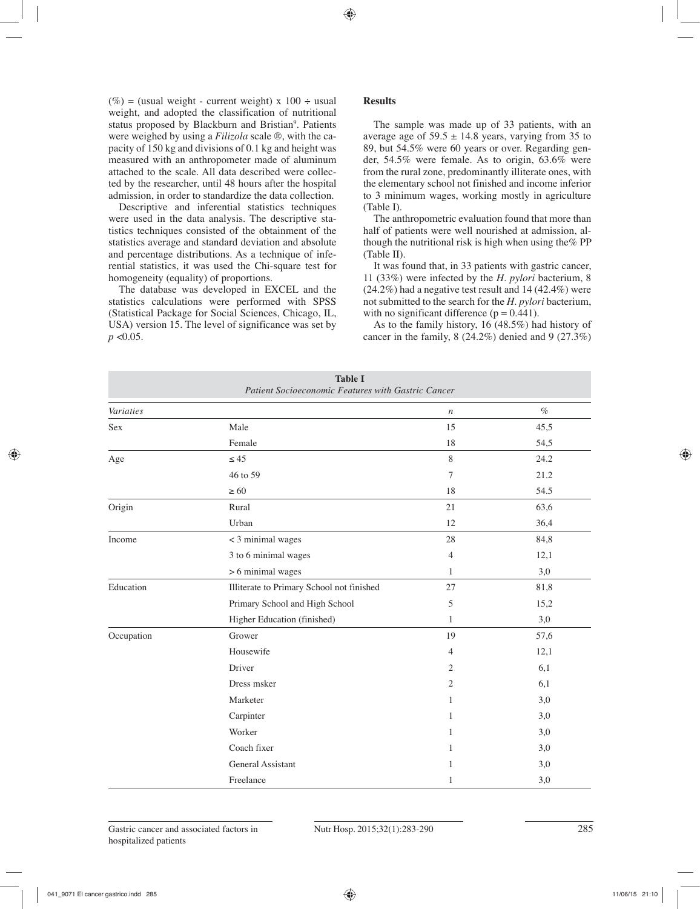(%) = (usual weight - current weight) x  $100 \div$  usual weight, and adopted the classification of nutritional status proposed by Blackburn and Bristian<sup>9</sup>. Patients were weighed by using a *Filizola* scale ®, with the capacity of 150 kg and divisions of 0.1 kg and height was measured with an anthropometer made of aluminum attached to the scale. All data described were collected by the researcher, until 48 hours after the hospital admission, in order to standardize the data collection.

Descriptive and inferential statistics techniques were used in the data analysis. The descriptive statistics techniques consisted of the obtainment of the statistics average and standard deviation and absolute and percentage distributions. As a technique of inferential statistics, it was used the Chi-square test for homogeneity (equality) of proportions.

The database was developed in EXCEL and the statistics calculations were performed with SPSS (Statistical Package for Social Sciences, Chicago, IL, USA) version 15. The level of significance was set by *p* <0.05.

# **Results**

The sample was made up of 33 patients, with an average age of  $59.5 \pm 14.8$  years, varying from 35 to 89, but 54.5% were 60 years or over. Regarding gender, 54.5% were female. As to origin, 63.6% were from the rural zone, predominantly illiterate ones, with the elementary school not finished and income inferior to 3 minimum wages, working mostly in agriculture (Table I).

The anthropometric evaluation found that more than half of patients were well nourished at admission, although the nutritional risk is high when using the% PP (Table II).

It was found that, in 33 patients with gastric cancer, 11 (33%) were infected by the *H. pylori* bacterium, 8 (24.2%) had a negative test result and 14 (42.4%) were not submitted to the search for the *H. pylori* bacterium, with no significant difference  $(p = 0.441)$ .

As to the family history, 16 (48.5%) had history of cancer in the family, 8 (24.2%) denied and 9 (27.3%)

| <b>Table I</b><br>Patient Socioeconomic Features with Gastric Cancer |                                           |                |      |  |
|----------------------------------------------------------------------|-------------------------------------------|----------------|------|--|
| Variaties                                                            |                                           | $\,n$          | $\%$ |  |
| <b>Sex</b>                                                           | Male                                      | 15             | 45,5 |  |
|                                                                      | Female                                    | 18             | 54,5 |  |
| Age                                                                  | $\leq 45$                                 | 8              | 24.2 |  |
|                                                                      | 46 to 59                                  | 7              | 21.2 |  |
|                                                                      | $\geq 60$                                 | 18             | 54.5 |  |
| Origin                                                               | Rural                                     | 21             | 63,6 |  |
|                                                                      | Urban                                     | 12             | 36,4 |  |
| Income                                                               | < 3 minimal wages                         | 28             | 84,8 |  |
|                                                                      | 3 to 6 minimal wages                      | 4              | 12,1 |  |
|                                                                      | $> 6$ minimal wages                       | 1              | 3,0  |  |
| Education                                                            | Illiterate to Primary School not finished | 27             | 81,8 |  |
|                                                                      | Primary School and High School            | 5              | 15,2 |  |
|                                                                      | Higher Education (finished)               | 1              | 3,0  |  |
| Occupation                                                           | Grower                                    | 19             | 57,6 |  |
|                                                                      | Housewife                                 | $\overline{4}$ | 12,1 |  |
|                                                                      | Driver                                    | 2              | 6,1  |  |
|                                                                      | Dress msker                               | 2              | 6,1  |  |
|                                                                      | Marketer                                  | 1              | 3,0  |  |
|                                                                      | Carpinter                                 | 1              | 3,0  |  |
|                                                                      | Worker                                    | 1              | 3,0  |  |
|                                                                      | Coach fixer                               | 1              | 3,0  |  |
|                                                                      | General Assistant                         | 1              | 3,0  |  |
|                                                                      | Freelance                                 | 1              | 3,0  |  |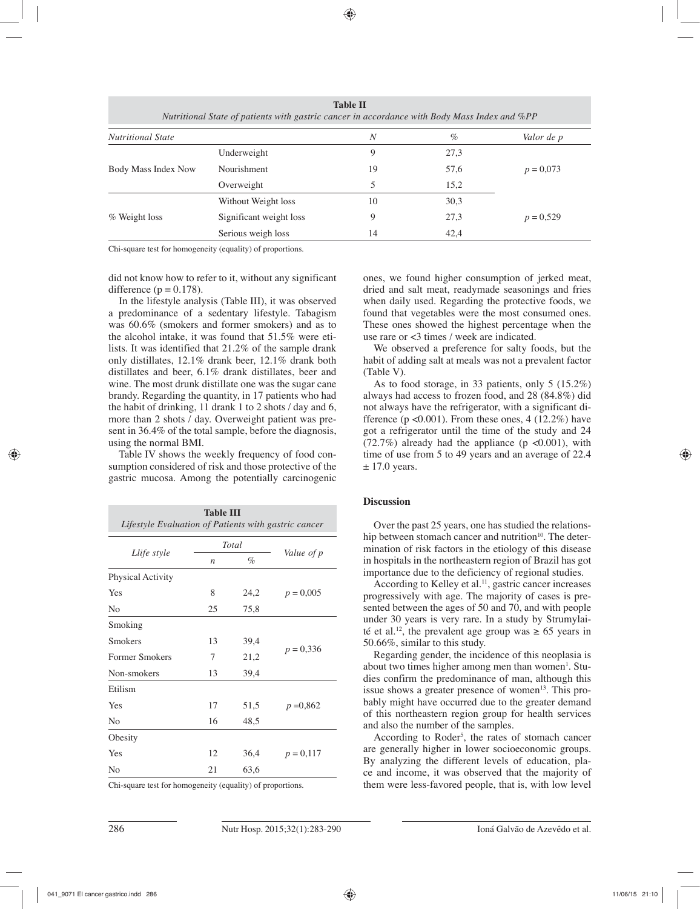| <b>Nutritional State</b> |                         | N  | $\%$ | Valor de p  |
|--------------------------|-------------------------|----|------|-------------|
|                          | Underweight             | 9  | 27,3 |             |
| Body Mass Index Now      | Nourishment             | 19 | 57,6 | $p = 0.073$ |
|                          | Overweight              | 5  | 15,2 |             |
|                          | Without Weight loss     | 10 | 30,3 |             |
| % Weight loss            | Significant weight loss | 9  | 27,3 | $p = 0,529$ |
|                          | Serious weigh loss      | 14 | 42,4 |             |

**Table II** 

Chi-square test for homogeneity (equality) of proportions.

did not know how to refer to it, without any significant difference ( $p = 0.178$ ).

In the lifestyle analysis (Table III), it was observed a predominance of a sedentary lifestyle. Tabagism was 60.6% (smokers and former smokers) and as to the alcohol intake, it was found that 51.5% were etilists. It was identified that 21.2% of the sample drank only distillates, 12.1% drank beer, 12.1% drank both distillates and beer, 6.1% drank distillates, beer and wine. The most drunk distillate one was the sugar cane brandy. Regarding the quantity, in 17 patients who had the habit of drinking, 11 drank 1 to 2 shots / day and 6, more than 2 shots / day. Overweight patient was present in 36.4% of the total sample, before the diagnosis, using the normal BMI.

Table IV shows the weekly frequency of food consumption considered of risk and those protective of the gastric mucosa. Among the potentially carcinogenic

| <b>Table III</b><br>Lifestyle Evaluation of Patients with gastric cancer |                  |       |             |  |  |  |
|--------------------------------------------------------------------------|------------------|-------|-------------|--|--|--|
|                                                                          |                  | Total |             |  |  |  |
| Llife style                                                              | $\boldsymbol{n}$ | $\%$  | Value of p  |  |  |  |
| Physical Activity                                                        |                  |       |             |  |  |  |
| Yes                                                                      | 8                | 24,2  | $p = 0,005$ |  |  |  |
| N <sub>0</sub>                                                           | 25               | 75,8  |             |  |  |  |
| Smoking                                                                  |                  |       |             |  |  |  |
| Smokers                                                                  | 13               | 39,4  |             |  |  |  |
| Former Smokers                                                           | 7                | 21,2  | $p = 0,336$ |  |  |  |
| Non-smokers                                                              | 13               | 39,4  |             |  |  |  |
| Etilism                                                                  |                  |       |             |  |  |  |
| Yes                                                                      | 17               | 51,5  | $p = 0,862$ |  |  |  |
| N <sub>0</sub>                                                           | 16               | 48,5  |             |  |  |  |
| Obesity                                                                  |                  |       |             |  |  |  |
| Yes                                                                      | 12               | 36,4  | $p = 0,117$ |  |  |  |
| N <sub>0</sub>                                                           | 21               | 63,6  |             |  |  |  |

Chi-square test for homogeneity (equality) of proportions.

ones, we found higher consumption of jerked meat, dried and salt meat, readymade seasonings and fries when daily used. Regarding the protective foods, we found that vegetables were the most consumed ones. These ones showed the highest percentage when the use rare or <3 times / week are indicated.

We observed a preference for salty foods, but the habit of adding salt at meals was not a prevalent factor (Table V).

As to food storage, in 33 patients, only 5 (15.2%) always had access to frozen food, and 28 (84.8%) did not always have the refrigerator, with a significant difference ( $p \le 0.001$ ). From these ones, 4 (12.2%) have got a refrigerator until the time of the study and 24  $(72.7%)$  already had the appliance (p <0.001), with time of use from 5 to 49 years and an average of 22.4  $\pm$  17.0 years.

## **Discussion**

Over the past 25 years, one has studied the relationship between stomach cancer and nutrition<sup>10</sup>. The determination of risk factors in the etiology of this disease in hospitals in the northeastern region of Brazil has got importance due to the deficiency of regional studies.

According to Kelley et al.<sup>11</sup>, gastric cancer increases progressively with age. The majority of cases is presented between the ages of 50 and 70, and with people under 30 years is very rare. In a study by Strumylaité et al.<sup>12</sup>, the prevalent age group was  $\geq 65$  years in 50.66%, similar to this study.

Regarding gender, the incidence of this neoplasia is about two times higher among men than women<sup>1</sup>. Studies confirm the predominance of man, although this issue shows a greater presence of women<sup>13</sup>. This probably might have occurred due to the greater demand of this northeastern region group for health services and also the number of the samples.

According to Roder<sup>5</sup>, the rates of stomach cancer are generally higher in lower socioeconomic groups. By analyzing the different levels of education, place and income, it was observed that the majority of them were less-favored people, that is, with low level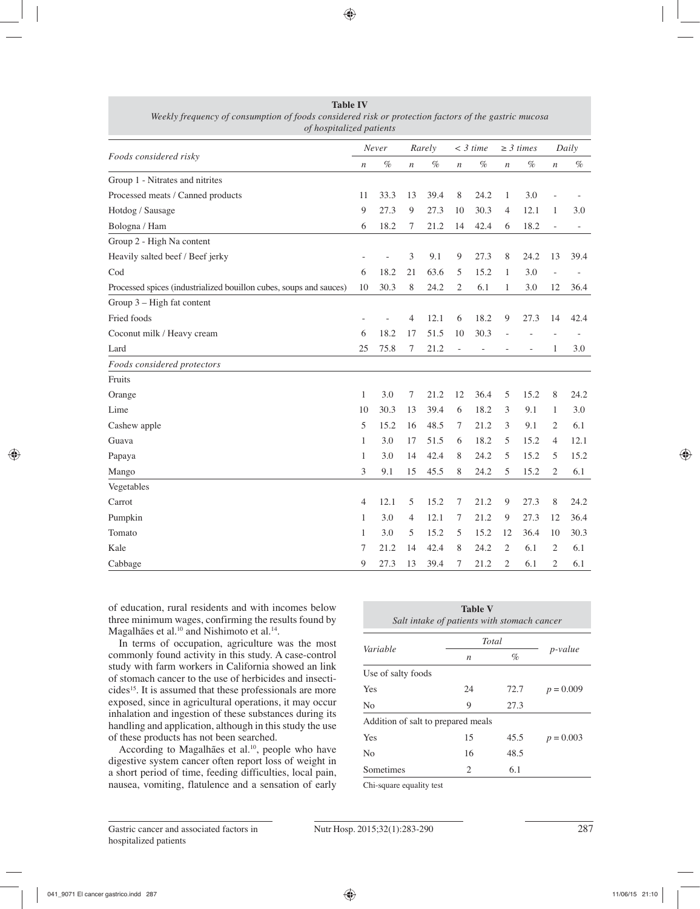|                                                                    |                  | Never |                  | Rarely |                  | $<$ 3 time        |                  | $\geq$ 3 times |                | Daily |  |
|--------------------------------------------------------------------|------------------|-------|------------------|--------|------------------|-------------------|------------------|----------------|----------------|-------|--|
| Foods considered risky                                             | $\boldsymbol{n}$ | $\%$  | $\boldsymbol{n}$ | $\%$   | $\boldsymbol{n}$ | $\%$              | $\boldsymbol{n}$ | $\%$           | $\,$           | $\%$  |  |
| Group 1 - Nitrates and nitrites                                    |                  |       |                  |        |                  |                   |                  |                |                |       |  |
| Processed meats / Canned products                                  | 11               | 33.3  | 13               | 39.4   | $\,$ 8 $\,$      | 24.2              | $\mathbf{1}$     | 3.0            |                |       |  |
| Hotdog / Sausage                                                   | 9                | 27.3  | 9                | 27.3   | 10               | 30.3              | 4                | 12.1           | 1              | 3.0   |  |
| Bologna / Ham                                                      | 6                | 18.2  | 7                | 21.2   | 14               | 42.4              | 6                | 18.2           |                |       |  |
| Group 2 - High Na content                                          |                  |       |                  |        |                  |                   |                  |                |                |       |  |
| Heavily salted beef / Beef jerky                                   |                  |       | 3                | 9.1    | $\overline{9}$   | 27.3              | 8                | 24.2           | 13             | 39.4  |  |
| Cod                                                                | 6                | 18.2  | 21               | 63.6   | 5                | 15.2              | 1                | 3.0            | $\overline{a}$ |       |  |
| Processed spices (industrialized bouillon cubes, soups and sauces) | 10               | 30.3  | 8                | 24.2   | $\mathfrak{2}$   | 6.1               | 1                | 3.0            | 12             | 36.4  |  |
| Group 3 - High fat content                                         |                  |       |                  |        |                  |                   |                  |                |                |       |  |
| Fried foods                                                        |                  |       | 4                | 12.1   | 6                | 18.2              | 9                | 27.3           | 14             | 42.4  |  |
| Coconut milk / Heavy cream                                         | 6                | 18.2  | 17               | 51.5   | 10               | 30.3              |                  |                |                |       |  |
| Lard                                                               | 25               | 75.8  | 7                | 21.2   | $\blacksquare$   | $\qquad \qquad -$ |                  |                | 1              | 3.0   |  |
| Foods considered protectors                                        |                  |       |                  |        |                  |                   |                  |                |                |       |  |
| Fruits                                                             |                  |       |                  |        |                  |                   |                  |                |                |       |  |
| Orange                                                             | 1                | 3.0   | 7                | 21.2   | 12               | 36.4              | 5                | 15.2           | 8              | 24.2  |  |
| Lime                                                               | 10               | 30.3  | 13               | 39.4   | 6                | 18.2              | 3                | 9.1            | 1              | 3.0   |  |
| Cashew apple                                                       | 5                | 15.2  | 16               | 48.5   | 7                | 21.2              | 3                | 9.1            | 2              | 6.1   |  |
| Guava                                                              | 1                | 3.0   | 17               | 51.5   | 6                | 18.2              | 5                | 15.2           | $\overline{4}$ | 12.1  |  |
| Papaya                                                             | 1                | 3.0   | 14               | 42.4   | 8                | 24.2              | 5                | 15.2           | 5              | 15.2  |  |
| Mango                                                              | 3                | 9.1   | 15               | 45.5   | 8                | 24.2              | 5                | 15.2           | 2              | 6.1   |  |
| Vegetables                                                         |                  |       |                  |        |                  |                   |                  |                |                |       |  |
| Carrot                                                             | 4                | 12.1  | 5                | 15.2   | $\tau$           | 21.2              | 9                | 27.3           | 8              | 24.2  |  |
| Pumpkin                                                            | 1                | 3.0   | 4                | 12.1   | 7                | 21.2              | 9                | 27.3           | 12             | 36.4  |  |
| Tomato                                                             | 1                | 3.0   | 5                | 15.2   | 5                | 15.2              | 12               | 36.4           | 10             | 30.3  |  |
| Kale                                                               | 7                | 21.2  | 14               | 42.4   | 8                | 24.2              | 2                | 6.1            | 2              | 6.1   |  |
| Cabbage                                                            | 9                | 27.3  | 13               | 39.4   | 7                | 21.2              | 2                | 6.1            | 2              | 6.1   |  |

**Table IV**  *Weekly frequency of consumption of foods considered risk or protection factors of the gastric mucosa of hospitalized patients*

of education, rural residents and with incomes below three minimum wages, confirming the results found by Magalhães et al.<sup>10</sup> and Nishimoto et al.<sup>14</sup>.

In terms of occupation, agriculture was the most commonly found activity in this study. A case-control study with farm workers in California showed an link of stomach cancer to the use of herbicides and insecticides<sup>15</sup>. It is assumed that these professionals are more exposed, since in agricultural operations, it may occur inhalation and ingestion of these substances during its handling and application, although in this study the use of these products has not been searched.

According to Magalhães et al.<sup>10</sup>, people who have digestive system cancer often report loss of weight in a short period of time, feeding difficulties, local pain, nausea, vomiting, flatulence and a sensation of early

|                                    | <b>Table V</b><br>Salt intake of patients with stomach cancer |      |                 |
|------------------------------------|---------------------------------------------------------------|------|-----------------|
|                                    | Total                                                         |      |                 |
| Variable                           | $\boldsymbol{n}$                                              | $\%$ | <i>p</i> -value |
| Use of salty foods                 |                                                               |      |                 |
| Yes                                | 24                                                            | 72.7 | $p = 0.009$     |
| No                                 | 9                                                             | 27.3 |                 |
| Addition of salt to prepared meals |                                                               |      |                 |
| Yes                                | 15                                                            | 45.5 | $p = 0.003$     |
| No                                 | 16                                                            | 48.5 |                 |
| Sometimes                          | 2                                                             | 6.1  |                 |

Chi-square equality test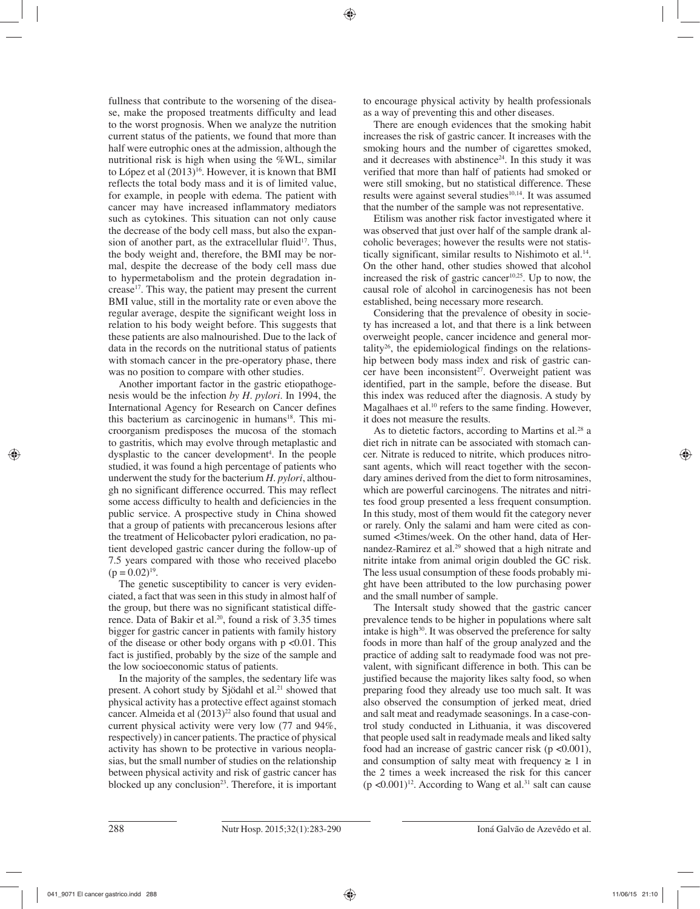fullness that contribute to the worsening of the disease, make the proposed treatments difficulty and lead to the worst prognosis. When we analyze the nutrition current status of the patients, we found that more than half were eutrophic ones at the admission, although the nutritional risk is high when using the %WL, similar to López et al  $(2013)^{16}$ . However, it is known that BMI reflects the total body mass and it is of limited value, for example, in people with edema. The patient with cancer may have increased inflammatory mediators such as cytokines. This situation can not only cause the decrease of the body cell mass, but also the expansion of another part, as the extracellular fluid<sup>17</sup>. Thus, the body weight and, therefore, the BMI may be normal, despite the decrease of the body cell mass due to hypermetabolism and the protein degradation increase17. This way, the patient may present the current BMI value, still in the mortality rate or even above the regular average, despite the significant weight loss in relation to his body weight before. This suggests that these patients are also malnourished. Due to the lack of data in the records on the nutritional status of patients with stomach cancer in the pre-operatory phase, there was no position to compare with other studies.

Another important factor in the gastric etiopathogenesis would be the infection *by H. pylori*. In 1994, the International Agency for Research on Cancer defines this bacterium as carcinogenic in humans<sup>18</sup>. This microorganism predisposes the mucosa of the stomach to gastritis, which may evolve through metaplastic and dysplastic to the cancer development<sup>4</sup>. In the people studied, it was found a high percentage of patients who underwent the study for the bacterium *H. pylori*, although no significant difference occurred. This may reflect some access difficulty to health and deficiencies in the public service. A prospective study in China showed that a group of patients with precancerous lesions after the treatment of Helicobacter pylori eradication, no patient developed gastric cancer during the follow-up of 7.5 years compared with those who received placebo  $(p = 0.02)^{19}$ .

The genetic susceptibility to cancer is very evidenciated, a fact that was seen in this study in almost half of the group, but there was no significant statistical difference. Data of Bakir et al.<sup>20</sup>, found a risk of 3.35 times bigger for gastric cancer in patients with family history of the disease or other body organs with  $p \le 0.01$ . This fact is justified, probably by the size of the sample and the low socioeconomic status of patients.

In the majority of the samples, the sedentary life was present. A cohort study by Sjödahl et al.<sup>21</sup> showed that physical activity has a protective effect against stomach cancer. Almeida et al  $(2013)^{22}$  also found that usual and current physical activity were very low (77 and 94%, respectively) in cancer patients. The practice of physical activity has shown to be protective in various neoplasias, but the small number of studies on the relationship between physical activity and risk of gastric cancer has blocked up any conclusion<sup>23</sup>. Therefore, it is important to encourage physical activity by health professionals as a way of preventing this and other diseases.

There are enough evidences that the smoking habit increases the risk of gastric cancer. It increases with the smoking hours and the number of cigarettes smoked, and it decreases with abstinence<sup>24</sup>. In this study it was verified that more than half of patients had smoked or were still smoking, but no statistical difference. These results were against several studies<sup>10,14</sup>. It was assumed that the number of the sample was not representative.

Etilism was another risk factor investigated where it was observed that just over half of the sample drank alcoholic beverages; however the results were not statistically significant, similar results to Nishimoto et al.<sup>14</sup>. On the other hand, other studies showed that alcohol increased the risk of gastric cancer<sup>10,25</sup>. Up to now, the causal role of alcohol in carcinogenesis has not been established, being necessary more research.

Considering that the prevalence of obesity in society has increased a lot, and that there is a link between overweight people, cancer incidence and general mortality<sup>26</sup>, the epidemiological findings on the relationship between body mass index and risk of gastric cancer have been inconsistent<sup>27</sup>. Overweight patient was identified, part in the sample, before the disease. But this index was reduced after the diagnosis. A study by Magalhaes et al.<sup>10</sup> refers to the same finding. However, it does not measure the results.

As to dietetic factors, according to Martins et al.<sup>28</sup> a diet rich in nitrate can be associated with stomach cancer. Nitrate is reduced to nitrite, which produces nitrosant agents, which will react together with the secondary amines derived from the diet to form nitrosamines, which are powerful carcinogens. The nitrates and nitrites food group presented a less frequent consumption. In this study, most of them would fit the category never or rarely. Only the salami and ham were cited as consumed <3times/week. On the other hand, data of Hernandez-Ramirez et al.<sup>29</sup> showed that a high nitrate and nitrite intake from animal origin doubled the GC risk. The less usual consumption of these foods probably might have been attributed to the low purchasing power and the small number of sample.

The Intersalt study showed that the gastric cancer prevalence tends to be higher in populations where salt intake is high<sup>30</sup>. It was observed the preference for salty foods in more than half of the group analyzed and the practice of adding salt to readymade food was not prevalent, with significant difference in both. This can be justified because the majority likes salty food, so when preparing food they already use too much salt. It was also observed the consumption of jerked meat, dried and salt meat and readymade seasonings. In a case-control study conducted in Lithuania, it was discovered that people used salt in readymade meals and liked salty food had an increase of gastric cancer risk ( $p \le 0.001$ ), and consumption of salty meat with frequency  $\geq 1$  in the 2 times a week increased the risk for this cancer  $(p \le 0.001)^{12}$ . According to Wang et al.<sup>31</sup> salt can cause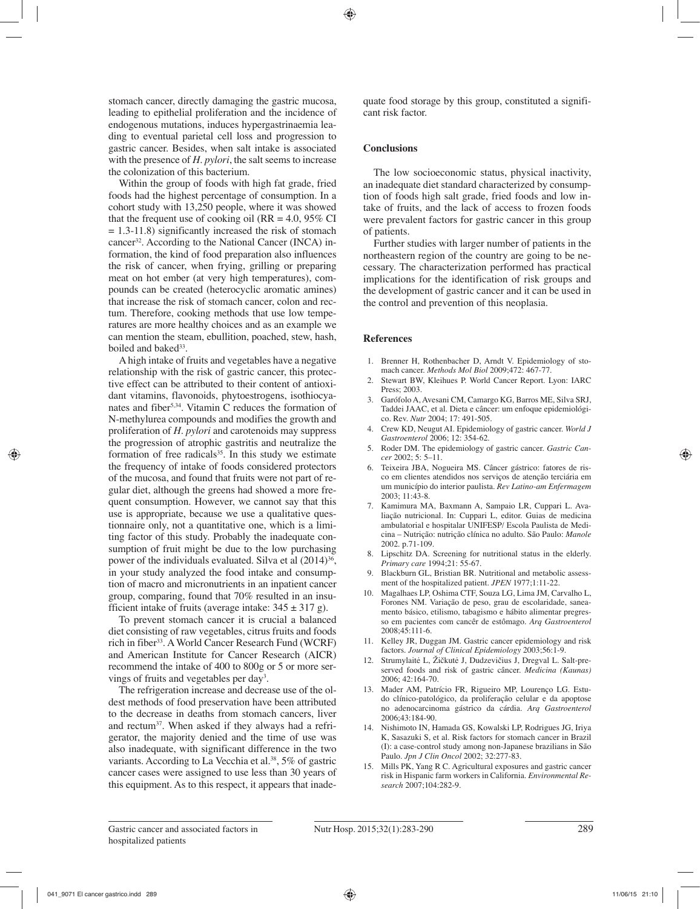stomach cancer, directly damaging the gastric mucosa, leading to epithelial proliferation and the incidence of endogenous mutations, induces hypergastrinaemia leading to eventual parietal cell loss and progression to gastric cancer. Besides, when salt intake is associated with the presence of *H. pylori*, the salt seems to increase the colonization of this bacterium.

Within the group of foods with high fat grade, fried foods had the highest percentage of consumption. In a cohort study with 13,250 people, where it was showed that the frequent use of cooking oil ( $RR = 4.0$ , 95% CI  $= 1.3 - 11.8$ ) significantly increased the risk of stomach cancer<sup>32</sup>. According to the National Cancer (INCA) information, the kind of food preparation also influences the risk of cancer, when frying, grilling or preparing meat on hot ember (at very high temperatures), compounds can be created (heterocyclic aromatic amines) that increase the risk of stomach cancer, colon and rectum. Therefore, cooking methods that use low temperatures are more healthy choices and as an example we can mention the steam, ebullition, poached, stew, hash, boiled and baked<sup>33</sup>.

A high intake of fruits and vegetables have a negative relationship with the risk of gastric cancer, this protective effect can be attributed to their content of antioxidant vitamins, flavonoids, phytoestrogens, isothiocyanates and fiber5,34. Vitamin C reduces the formation of N-methylurea compounds and modifies the growth and proliferation of *H. pylori* and carotenoids may suppress the progression of atrophic gastritis and neutralize the formation of free radicals $35$ . In this study we estimate the frequency of intake of foods considered protectors of the mucosa, and found that fruits were not part of regular diet, although the greens had showed a more frequent consumption. However, we cannot say that this use is appropriate, because we use a qualitative questionnaire only, not a quantitative one, which is a limiting factor of this study. Probably the inadequate consumption of fruit might be due to the low purchasing power of the individuals evaluated. Silva et al  $(2014)^{36}$ , in your study analyzed the food intake and consumption of macro and micronutrients in an inpatient cancer group, comparing, found that 70% resulted in an insufficient intake of fruits (average intake:  $345 \pm 317$  g).

To prevent stomach cancer it is crucial a balanced diet consisting of raw vegetables, citrus fruits and foods rich in fiber<sup>33</sup>. A World Cancer Research Fund (WCRF) and American Institute for Cancer Research (AICR) recommend the intake of 400 to 800g or 5 or more servings of fruits and vegetables per day<sup>3</sup>.

The refrigeration increase and decrease use of the oldest methods of food preservation have been attributed to the decrease in deaths from stomach cancers, liver and rectum37. When asked if they always had a refrigerator, the majority denied and the time of use was also inadequate, with significant difference in the two variants. According to La Vecchia et al.<sup>38</sup>, 5% of gastric cancer cases were assigned to use less than 30 years of this equipment. As to this respect, it appears that inadequate food storage by this group, constituted a significant risk factor.

### **Conclusions**

The low socioeconomic status, physical inactivity, an inadequate diet standard characterized by consumption of foods high salt grade, fried foods and low intake of fruits, and the lack of access to frozen foods were prevalent factors for gastric cancer in this group of patients.

Further studies with larger number of patients in the northeastern region of the country are going to be necessary. The characterization performed has practical implications for the identification of risk groups and the development of gastric cancer and it can be used in the control and prevention of this neoplasia.

#### **References**

- 1. Brenner H, Rothenbacher D, Arndt V. Epidemiology of stomach cancer. *Methods Mol Biol* 2009;472: 467-77.
- 2. Stewart BW, Kleihues P. World Cancer Report. Lyon: IARC Press; 2003.
- 3. Garófolo A, Avesani CM, Camargo KG, Barros ME, Silva SRJ, Taddei JAAC, et al. Dieta e câncer: um enfoque epidemiológico. Rev. *Nutr* 2004; 17: 491-505.
- 4. Crew KD, Neugut AI. Epidemiology of gastric cancer. *World J Gastroenterol* 2006; 12: 354-62.
- 5. Roder DM. The epidemiology of gastric cancer. *Gastric Cancer* 2002; 5: 5–11.
- 6. Teixeira JBA, Nogueira MS. Câncer gástrico: fatores de risco em clientes atendidos nos serviços de atenção terciária em um município do interior paulista. *Rev Latino-am Enfermagem*  2003; 11:43-8.
- 7. Kamimura MA, Baxmann A, Sampaio LR, Cuppari L. Avaliação nutricional. In: Cuppari L, editor. Guias de medicina ambulatorial e hospitalar UNIFESP/ Escola Paulista de Medicina – Nutrição: nutrição clínica no adulto. São Paulo: *Manole* 2002. p.71-109.
- 8. Lipschitz DA. Screening for nutritional status in the elderly. *Primary care* 1994;21: 55-67.
- 9. Blackburn GL, Bristian BR. Nutritional and metabolic assessment of the hospitalized patient. *JPEN* 1977;1:11-22.
- 10. Magalhaes LP, Oshima CTF, Souza LG, Lima JM, Carvalho L, Forones NM. Variação de peso, grau de escolaridade, saneamento básico, etilismo, tabagismo e hábito alimentar pregresso em pacientes com cancêr de estômago. *Arq Gastroenterol*  2008;45:111-6.
- 11. Kelley JR, Duggan JM. Gastric cancer epidemiology and risk factors. *Journal of Clinical Epidemiology* 2003;56:1-9.
- 12. Strumylaitė L, Žičkutė J, Dudzevičius J, Dregval L. Salt-preserved foods and risk of gastric câncer. *Medicina (Kaunas)* 2006; 42:164-70.
- 13. Mader AM, Patrício FR, Rigueiro MP, Lourenço LG. Estudo clínico-patológico, da proliferação celular e da apoptose no adenocarcinoma gástrico da cárdia. *Arq Gastroenterol*  2006;43:184-90.
- 14. Nishimoto IN, Hamada GS, Kowalski LP, Rodrigues JG, Iriya K, Sasazuki S, et al. Risk factors for stomach cancer in Brazil (I): a case-control study among non-Japanese brazilians in São Paulo. *Jpn J Clin Oncol* 2002; 32:277-83.
- 15. Mills PK, Yang R C. Agricultural exposures and gastric cancer risk in Hispanic farm workers in California. *Environmental Research* 2007;104:282-9.